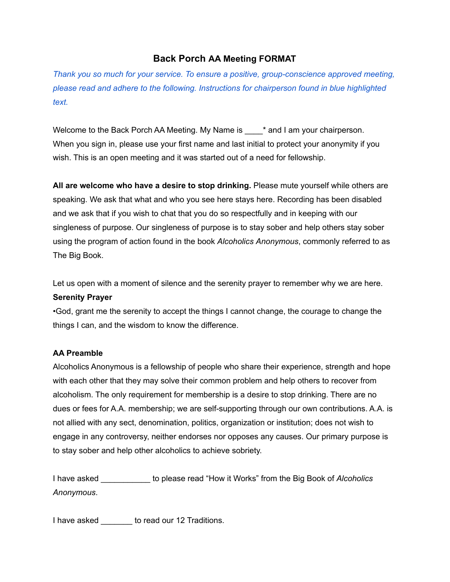## **Back Porch AA Meeting FORMAT**

*Thank you so much for your service. To ensure a positive, group-conscience approved meeting, please read and adhere to the following. Instructions for chairperson found in blue highlighted text.*

Welcome to the Back Porch AA Meeting. My Name is  $\qquad$  \* and I am your chairperson. When you sign in, please use your first name and last initial to protect your anonymity if you wish. This is an open meeting and it was started out of a need for fellowship.

**All are welcome who have a desire to stop drinking.** Please mute yourself while others are speaking. We ask that what and who you see here stays here. Recording has been disabled and we ask that if you wish to chat that you do so respectfully and in keeping with our singleness of purpose. Our singleness of purpose is to stay sober and help others stay sober using the program of action found in the book *Alcoholics Anonymous*, commonly referred to as The Big Book.

Let us open with a moment of silence and the serenity prayer to remember why we are here. **Serenity Prayer**

•God, grant me the serenity to accept the things I cannot change, the courage to change the things I can, and the wisdom to know the difference.

## **AA Preamble**

Alcoholics Anonymous is a fellowship of people who share their experience, strength and hope with each other that they may solve their common problem and help others to recover from alcoholism. The only requirement for membership is a desire to stop drinking. There are no dues or fees for A.A. membership; we are self-supporting through our own contributions. A.A. is not allied with any sect, denomination, politics, organization or institution; does not wish to engage in any controversy, neither endorses nor opposes any causes. Our primary purpose is to stay sober and help other alcoholics to achieve sobriety.

I have asked \_\_\_\_\_\_\_\_\_\_\_ to please read "How it Works" from the Big Book of *Alcoholics Anonymous*.

I have asked **to read our 12 Traditions**.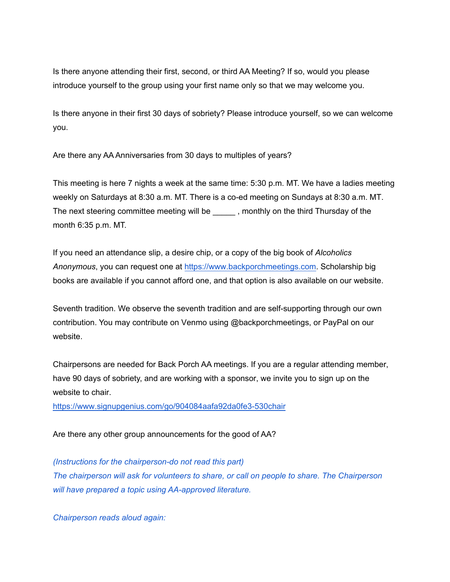Is there anyone attending their first, second, or third AA Meeting? If so, would you please introduce yourself to the group using your first name only so that we may welcome you.

Is there anyone in their first 30 days of sobriety? Please introduce yourself, so we can welcome you.

Are there any AA Anniversaries from 30 days to multiples of years?

This meeting is here 7 nights a week at the same time: 5:30 p.m. MT. We have a ladies meeting weekly on Saturdays at 8:30 a.m. MT. There is a co-ed meeting on Sundays at 8:30 a.m. MT. The next steering committee meeting will be \_\_\_\_\_\_, monthly on the third Thursday of the month 6:35 p.m. MT.

If you need an attendance slip, a desire chip, or a copy of the big book of *Alcoholics Anonymous*, you can request one at <https://www.backporchmeetings.com>. Scholarship big books are available if you cannot afford one, and that option is also available on our website.

Seventh tradition. We observe the seventh tradition and are self-supporting through our own contribution. You may contribute on Venmo using @backporchmeetings, or PayPal on our website.

Chairpersons are needed for Back Porch AA meetings. If you are a regular attending member, have 90 days of sobriety, and are working with a sponsor, we invite you to sign up on the website to chair.

<https://www.signupgenius.com/go/904084aafa92da0fe3-530chair>

Are there any other group announcements for the good of AA?

*(Instructions for the chairperson-do not read this part) The chairperson will ask for volunteers to share, or call on people to share. The Chairperson will have prepared a topic using AA-approved literature.*

*Chairperson reads aloud again:*